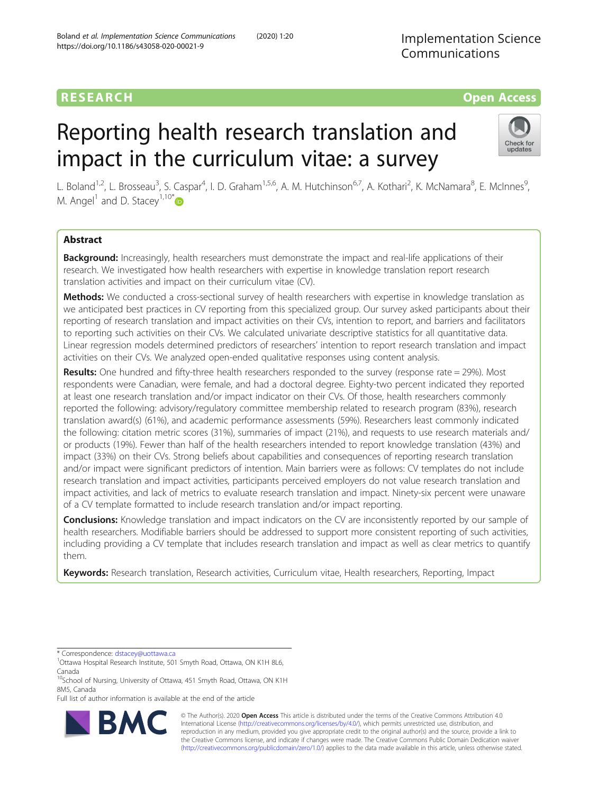# RESEARCH **RESEARCH CONSUMING ACCESS**

# Reporting health research translation and impact in the curriculum vitae: a survey



L. Boland<sup>1,2</sup>, L. Brosseau<sup>3</sup>, S. Caspar<sup>4</sup>, I. D. Graham<sup>1,5,6</sup>, A. M. Hutchinson<sup>6,7</sup>, A. Kothari<sup>2</sup>, K. McNamara<sup>8</sup>, E. McInnes<sup>9</sup> , M. Angel<sup>1</sup> and D. Stacey<sup>1,10[\\*](http://orcid.org/0000-0002-2681-741X)</sup>

# Abstract

Background: Increasingly, health researchers must demonstrate the impact and real-life applications of their research. We investigated how health researchers with expertise in knowledge translation report research translation activities and impact on their curriculum vitae (CV).

Methods: We conducted a cross-sectional survey of health researchers with expertise in knowledge translation as we anticipated best practices in CV reporting from this specialized group. Our survey asked participants about their reporting of research translation and impact activities on their CVs, intention to report, and barriers and facilitators to reporting such activities on their CVs. We calculated univariate descriptive statistics for all quantitative data. Linear regression models determined predictors of researchers' intention to report research translation and impact activities on their CVs. We analyzed open-ended qualitative responses using content analysis.

Results: One hundred and fifty-three health researchers responded to the survey (response rate = 29%). Most respondents were Canadian, were female, and had a doctoral degree. Eighty-two percent indicated they reported at least one research translation and/or impact indicator on their CVs. Of those, health researchers commonly reported the following: advisory/regulatory committee membership related to research program (83%), research translation award(s) (61%), and academic performance assessments (59%). Researchers least commonly indicated the following: citation metric scores (31%), summaries of impact (21%), and requests to use research materials and/ or products (19%). Fewer than half of the health researchers intended to report knowledge translation (43%) and impact (33%) on their CVs. Strong beliefs about capabilities and consequences of reporting research translation and/or impact were significant predictors of intention. Main barriers were as follows: CV templates do not include research translation and impact activities, participants perceived employers do not value research translation and impact activities, and lack of metrics to evaluate research translation and impact. Ninety-six percent were unaware of a CV template formatted to include research translation and/or impact reporting.

**Conclusions:** Knowledge translation and impact indicators on the CV are inconsistently reported by our sample of health researchers. Modifiable barriers should be addressed to support more consistent reporting of such activities, including providing a CV template that includes research translation and impact as well as clear metrics to quantify them.

Keywords: Research translation, Research activities, Curriculum vitae, Health researchers, Reporting, Impact

\* Correspondence: [dstacey@uottawa.ca](mailto:dstacey@uottawa.ca) <sup>1</sup>

Full list of author information is available at the end of the article



© The Author(s). 2020 **Open Access** This article is distributed under the terms of the Creative Commons Attribution 4.0 International License [\(http://creativecommons.org/licenses/by/4.0/](http://creativecommons.org/licenses/by/4.0/)), which permits unrestricted use, distribution, and reproduction in any medium, provided you give appropriate credit to the original author(s) and the source, provide a link to the Creative Commons license, and indicate if changes were made. The Creative Commons Public Domain Dedication waiver [\(http://creativecommons.org/publicdomain/zero/1.0/](http://creativecommons.org/publicdomain/zero/1.0/)) applies to the data made available in this article, unless otherwise stated.

<sup>&</sup>lt;sup>1</sup>Ottawa Hospital Research Institute, 501 Smyth Road, Ottawa, ON K1H 8L6, Canada

<sup>&</sup>lt;sup>10</sup>School of Nursing, University of Ottawa, 451 Smyth Road, Ottawa, ON K1H 8M5, Canada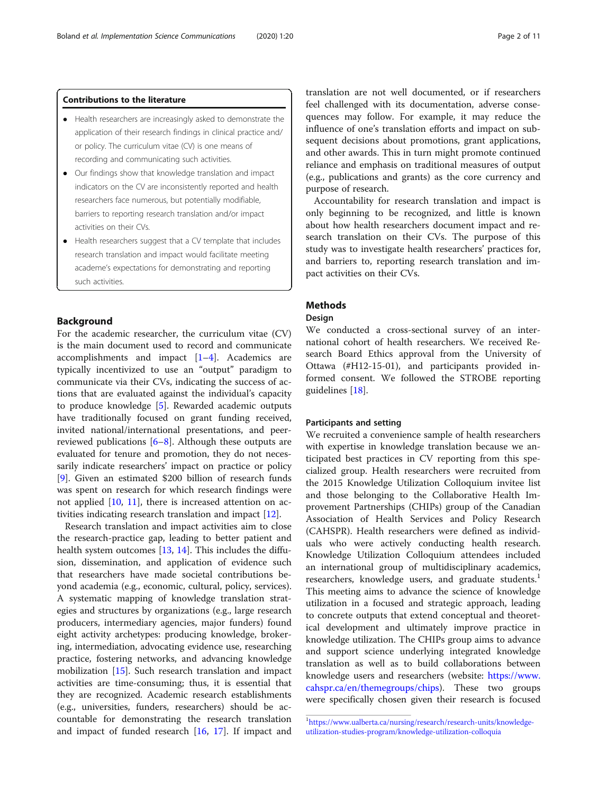#### Contributions to the literature

- Health researchers are increasingly asked to demonstrate the application of their research findings in clinical practice and/ or policy. The curriculum vitae (CV) is one means of recording and communicating such activities.
- Our findings show that knowledge translation and impact indicators on the CV are inconsistently reported and health researchers face numerous, but potentially modifiable, barriers to reporting research translation and/or impact activities on their CVs.
- Health researchers suggest that a CV template that includes research translation and impact would facilitate meeting academe's expectations for demonstrating and reporting such activities.

### Background

For the academic researcher, the curriculum vitae (CV) is the main document used to record and communicate accomplishments and impact  $[1-4]$  $[1-4]$  $[1-4]$ . Academics are typically incentivized to use an "output" paradigm to communicate via their CVs, indicating the success of actions that are evaluated against the individual's capacity to produce knowledge [\[5\]](#page-10-0). Rewarded academic outputs have traditionally focused on grant funding received, invited national/international presentations, and peerreviewed publications [\[6](#page-10-0)–[8](#page-10-0)]. Although these outputs are evaluated for tenure and promotion, they do not necessarily indicate researchers' impact on practice or policy [[9\]](#page-10-0). Given an estimated \$200 billion of research funds was spent on research for which research findings were not applied [[10,](#page-10-0) [11\]](#page-10-0), there is increased attention on activities indicating research translation and impact [\[12](#page-10-0)].

Research translation and impact activities aim to close the research-practice gap, leading to better patient and health system outcomes [\[13](#page-10-0), [14](#page-10-0)]. This includes the diffusion, dissemination, and application of evidence such that researchers have made societal contributions beyond academia (e.g., economic, cultural, policy, services). A systematic mapping of knowledge translation strategies and structures by organizations (e.g., large research producers, intermediary agencies, major funders) found eight activity archetypes: producing knowledge, brokering, intermediation, advocating evidence use, researching practice, fostering networks, and advancing knowledge mobilization [[15\]](#page-10-0). Such research translation and impact activities are time-consuming; thus, it is essential that they are recognized. Academic research establishments (e.g., universities, funders, researchers) should be accountable for demonstrating the research translation and impact of funded research [\[16,](#page-10-0) [17](#page-10-0)]. If impact and

translation are not well documented, or if researchers feel challenged with its documentation, adverse consequences may follow. For example, it may reduce the influence of one's translation efforts and impact on subsequent decisions about promotions, grant applications, and other awards. This in turn might promote continued reliance and emphasis on traditional measures of output (e.g., publications and grants) as the core currency and purpose of research.

Accountability for research translation and impact is only beginning to be recognized, and little is known about how health researchers document impact and research translation on their CVs. The purpose of this study was to investigate health researchers' practices for, and barriers to, reporting research translation and impact activities on their CVs.

# **Methods**

#### Design

We conducted a cross-sectional survey of an international cohort of health researchers. We received Research Board Ethics approval from the University of Ottawa (#H12-15-01), and participants provided informed consent. We followed the STROBE reporting guidelines [[18\]](#page-10-0).

#### Participants and setting

We recruited a convenience sample of health researchers with expertise in knowledge translation because we anticipated best practices in CV reporting from this specialized group. Health researchers were recruited from the 2015 Knowledge Utilization Colloquium invitee list and those belonging to the Collaborative Health Improvement Partnerships (CHIPs) group of the Canadian Association of Health Services and Policy Research (CAHSPR). Health researchers were defined as individuals who were actively conducting health research. Knowledge Utilization Colloquium attendees included an international group of multidisciplinary academics, researchers, knowledge users, and graduate students.<sup>1</sup> This meeting aims to advance the science of knowledge utilization in a focused and strategic approach, leading to concrete outputs that extend conceptual and theoretical development and ultimately improve practice in knowledge utilization. The CHIPs group aims to advance and support science underlying integrated knowledge translation as well as to build collaborations between knowledge users and researchers (website: [https://www.](https://www.cahspr.ca/en/themegroups/chips) [cahspr.ca/en/themegroups/chips\)](https://www.cahspr.ca/en/themegroups/chips). These two groups were specifically chosen given their research is focused

<sup>1</sup> [https://www.ualberta.ca/nursing/research/research-units/knowledge](https://www.ualberta.ca/nursing/research/research-units/knowledge-utilization-studies-program/knowledge-utilization-colloquia)[utilization-studies-program/knowledge-utilization-colloquia](https://www.ualberta.ca/nursing/research/research-units/knowledge-utilization-studies-program/knowledge-utilization-colloquia)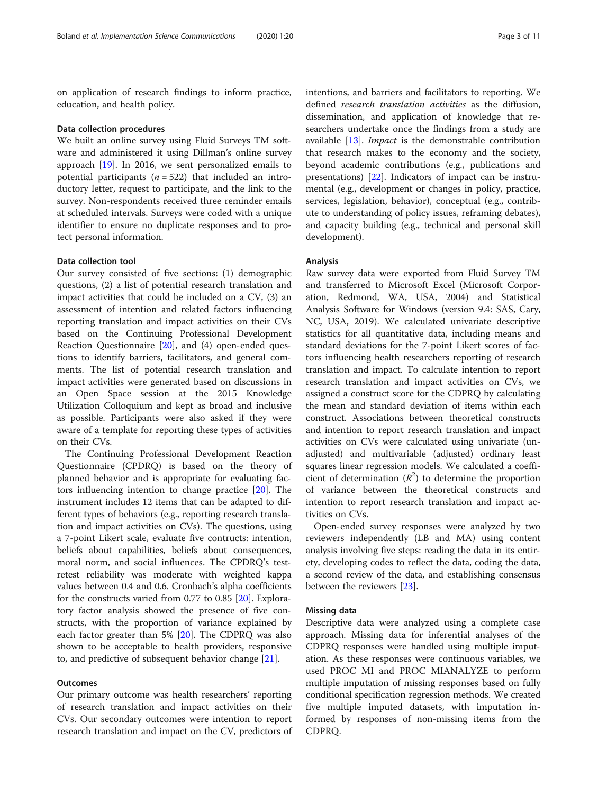on application of research findings to inform practice, education, and health policy.

#### Data collection procedures

We built an online survey using Fluid Surveys TM software and administered it using Dillman's online survey approach [[19\]](#page-10-0). In 2016, we sent personalized emails to potential participants ( $n = 522$ ) that included an introductory letter, request to participate, and the link to the survey. Non-respondents received three reminder emails at scheduled intervals. Surveys were coded with a unique identifier to ensure no duplicate responses and to protect personal information.

#### Data collection tool

Our survey consisted of five sections: (1) demographic questions, (2) a list of potential research translation and impact activities that could be included on a CV, (3) an assessment of intention and related factors influencing reporting translation and impact activities on their CVs based on the Continuing Professional Development Reaction Questionnaire [[20](#page-10-0)], and (4) open-ended questions to identify barriers, facilitators, and general comments. The list of potential research translation and impact activities were generated based on discussions in an Open Space session at the 2015 Knowledge Utilization Colloquium and kept as broad and inclusive as possible. Participants were also asked if they were aware of a template for reporting these types of activities on their CVs.

The Continuing Professional Development Reaction Questionnaire (CPDRQ) is based on the theory of planned behavior and is appropriate for evaluating factors influencing intention to change practice [[20](#page-10-0)]. The instrument includes 12 items that can be adapted to different types of behaviors (e.g., reporting research translation and impact activities on CVs). The questions, using a 7-point Likert scale, evaluate five contructs: intention, beliefs about capabilities, beliefs about consequences, moral norm, and social influences. The CPDRQ's testretest reliability was moderate with weighted kappa values between 0.4 and 0.6. Cronbach's alpha coefficients for the constructs varied from 0.77 to 0.85 [\[20](#page-10-0)]. Exploratory factor analysis showed the presence of five constructs, with the proportion of variance explained by each factor greater than 5% [[20\]](#page-10-0). The CDPRQ was also shown to be acceptable to health providers, responsive to, and predictive of subsequent behavior change [[21](#page-10-0)].

# **Outcomes**

Our primary outcome was health researchers' reporting of research translation and impact activities on their CVs. Our secondary outcomes were intention to report research translation and impact on the CV, predictors of intentions, and barriers and facilitators to reporting. We defined research translation activities as the diffusion, dissemination, and application of knowledge that researchers undertake once the findings from a study are available [\[13\]](#page-10-0). Impact is the demonstrable contribution that research makes to the economy and the society, beyond academic contributions (e.g., publications and presentations) [[22\]](#page-10-0). Indicators of impact can be instrumental (e.g., development or changes in policy, practice, services, legislation, behavior), conceptual (e.g., contribute to understanding of policy issues, reframing debates), and capacity building (e.g., technical and personal skill development).

#### Analysis

Raw survey data were exported from Fluid Survey TM and transferred to Microsoft Excel (Microsoft Corporation, Redmond, WA, USA, 2004) and Statistical Analysis Software for Windows (version 9.4: SAS, Cary, NC, USA, 2019). We calculated univariate descriptive statistics for all quantitative data, including means and standard deviations for the 7-point Likert scores of factors influencing health researchers reporting of research translation and impact. To calculate intention to report research translation and impact activities on CVs, we assigned a construct score for the CDPRQ by calculating the mean and standard deviation of items within each construct. Associations between theoretical constructs and intention to report research translation and impact activities on CVs were calculated using univariate (unadjusted) and multivariable (adjusted) ordinary least squares linear regression models. We calculated a coefficient of determination  $(R^2)$  to determine the proportion of variance between the theoretical constructs and intention to report research translation and impact activities on CVs.

Open-ended survey responses were analyzed by two reviewers independently (LB and MA) using content analysis involving five steps: reading the data in its entirety, developing codes to reflect the data, coding the data, a second review of the data, and establishing consensus between the reviewers [[23](#page-10-0)].

#### Missing data

Descriptive data were analyzed using a complete case approach. Missing data for inferential analyses of the CDPRQ responses were handled using multiple imputation. As these responses were continuous variables, we used PROC MI and PROC MIANALYZE to perform multiple imputation of missing responses based on fully conditional specification regression methods. We created five multiple imputed datasets, with imputation informed by responses of non-missing items from the CDPRQ.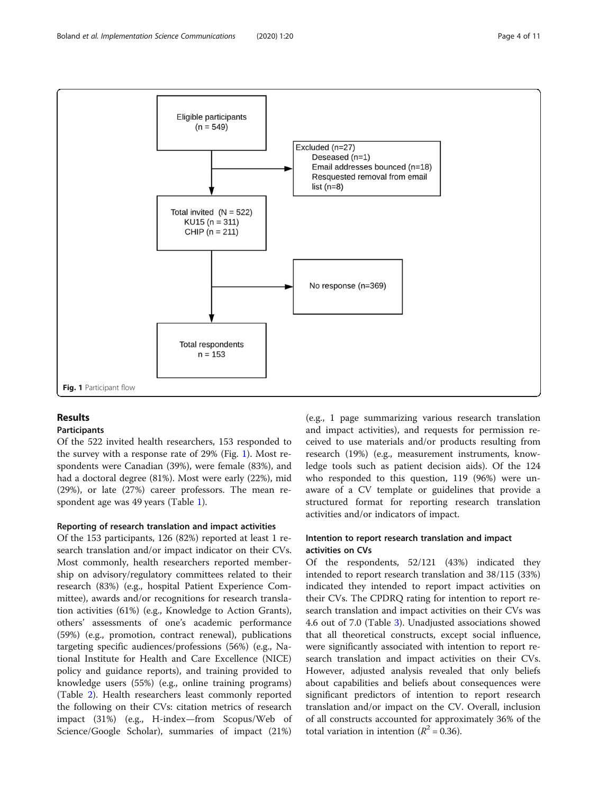

# Results

### Participants

Of the 522 invited health researchers, 153 responded to the survey with a response rate of 29% (Fig. 1). Most respondents were Canadian (39%), were female (83%), and had a doctoral degree (81%). Most were early (22%), mid (29%), or late (27%) career professors. The mean respondent age was 49 years (Table [1](#page-4-0)).

### Reporting of research translation and impact activities

Of the 153 participants, 126 (82%) reported at least 1 research translation and/or impact indicator on their CVs. Most commonly, health researchers reported membership on advisory/regulatory committees related to their research (83%) (e.g., hospital Patient Experience Committee), awards and/or recognitions for research translation activities (61%) (e.g., Knowledge to Action Grants), others' assessments of one's academic performance (59%) (e.g., promotion, contract renewal), publications targeting specific audiences/professions (56%) (e.g., National Institute for Health and Care Excellence (NICE) policy and guidance reports), and training provided to knowledge users (55%) (e.g., online training programs) (Table [2](#page-5-0)). Health researchers least commonly reported the following on their CVs: citation metrics of research impact (31%) (e.g., H-index—from Scopus/Web of Science/Google Scholar), summaries of impact (21%)

(e.g., 1 page summarizing various research translation and impact activities), and requests for permission received to use materials and/or products resulting from research (19%) (e.g., measurement instruments, knowledge tools such as patient decision aids). Of the 124 who responded to this question, 119 (96%) were unaware of a CV template or guidelines that provide a structured format for reporting research translation activities and/or indicators of impact.

# Intention to report research translation and impact activities on CVs

Of the respondents, 52/121 (43%) indicated they intended to report research translation and 38/115 (33%) indicated they intended to report impact activities on their CVs. The CPDRQ rating for intention to report research translation and impact activities on their CVs was 4.6 out of 7.0 (Table [3\)](#page-6-0). Unadjusted associations showed that all theoretical constructs, except social influence, were significantly associated with intention to report research translation and impact activities on their CVs. However, adjusted analysis revealed that only beliefs about capabilities and beliefs about consequences were significant predictors of intention to report research translation and/or impact on the CV. Overall, inclusion of all constructs accounted for approximately 36% of the total variation in intention ( $R^2$  = 0.36).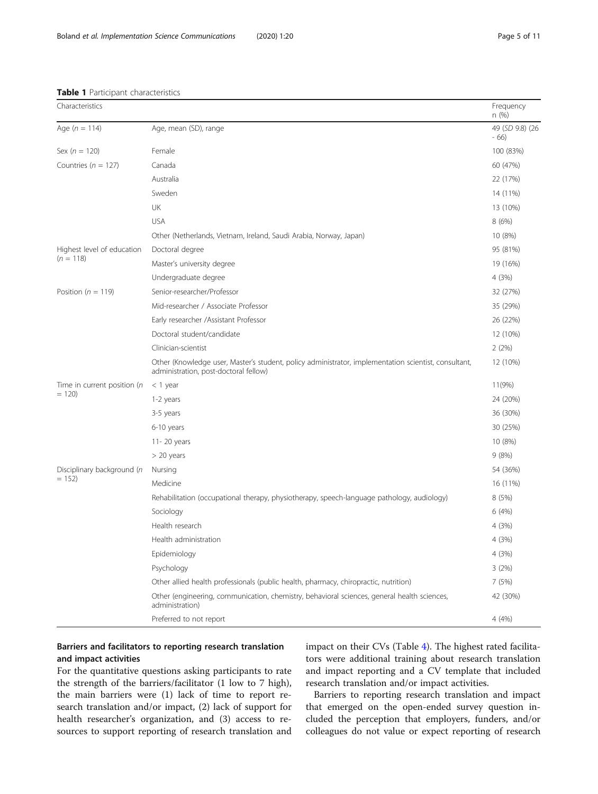| Characteristics                                                                                                                                                                                                                                                                                                                                                                                                                                                                                                                                                                                                                                                                                                                                                                                                                                           |                                                                                                                | Frequency<br>n(%)         |
|-----------------------------------------------------------------------------------------------------------------------------------------------------------------------------------------------------------------------------------------------------------------------------------------------------------------------------------------------------------------------------------------------------------------------------------------------------------------------------------------------------------------------------------------------------------------------------------------------------------------------------------------------------------------------------------------------------------------------------------------------------------------------------------------------------------------------------------------------------------|----------------------------------------------------------------------------------------------------------------|---------------------------|
| Age $(n = 114)$                                                                                                                                                                                                                                                                                                                                                                                                                                                                                                                                                                                                                                                                                                                                                                                                                                           | Age, mean (SD), range                                                                                          | 49 (SD 9.8) (26<br>$-66)$ |
| Sex ( $n = 120$ )                                                                                                                                                                                                                                                                                                                                                                                                                                                                                                                                                                                                                                                                                                                                                                                                                                         | Female                                                                                                         | 100 (83%)                 |
| Countries ( $n = 127$ )                                                                                                                                                                                                                                                                                                                                                                                                                                                                                                                                                                                                                                                                                                                                                                                                                                   | Canada                                                                                                         | 60 (47%)                  |
| Australia<br>Sweden<br>UK<br><b>USA</b><br>Other (Netherlands, Vietnam, Ireland, Saudi Arabia, Norway, Japan)<br>Highest level of education<br>Doctoral degree<br>$(n = 118)$<br>Master's university degree<br>Undergraduate degree<br>Senior-researcher/Professor<br>Position ( $n = 119$ )<br>Mid-researcher / Associate Professor<br>Early researcher /Assistant Professor<br>Doctoral student/candidate<br>Clinician-scientist<br>administration, post-doctoral fellow)<br>Time in current position (n<br>$<$ 1 year<br>$= 120$<br>1-2 years<br>3-5 years<br>6-10 years<br>11-20 years<br>$> 20$ years<br>Disciplinary background (n<br>Nursing<br>$= 152$<br>Medicine<br>Sociology<br>Health research<br>Health administration<br>Epidemiology<br>Psychology<br>Other allied health professionals (public health, pharmacy, chiropractic, nutrition) |                                                                                                                | 22 (17%)                  |
|                                                                                                                                                                                                                                                                                                                                                                                                                                                                                                                                                                                                                                                                                                                                                                                                                                                           |                                                                                                                | 14 (11%)                  |
|                                                                                                                                                                                                                                                                                                                                                                                                                                                                                                                                                                                                                                                                                                                                                                                                                                                           |                                                                                                                | 13 (10%)                  |
|                                                                                                                                                                                                                                                                                                                                                                                                                                                                                                                                                                                                                                                                                                                                                                                                                                                           |                                                                                                                | 8(6%)                     |
|                                                                                                                                                                                                                                                                                                                                                                                                                                                                                                                                                                                                                                                                                                                                                                                                                                                           |                                                                                                                | 10 (8%)                   |
|                                                                                                                                                                                                                                                                                                                                                                                                                                                                                                                                                                                                                                                                                                                                                                                                                                                           |                                                                                                                | 95 (81%)                  |
|                                                                                                                                                                                                                                                                                                                                                                                                                                                                                                                                                                                                                                                                                                                                                                                                                                                           |                                                                                                                | 19 (16%)                  |
|                                                                                                                                                                                                                                                                                                                                                                                                                                                                                                                                                                                                                                                                                                                                                                                                                                                           |                                                                                                                | 4 (3%)                    |
|                                                                                                                                                                                                                                                                                                                                                                                                                                                                                                                                                                                                                                                                                                                                                                                                                                                           |                                                                                                                | 32 (27%)                  |
|                                                                                                                                                                                                                                                                                                                                                                                                                                                                                                                                                                                                                                                                                                                                                                                                                                                           |                                                                                                                | 35 (29%)                  |
|                                                                                                                                                                                                                                                                                                                                                                                                                                                                                                                                                                                                                                                                                                                                                                                                                                                           |                                                                                                                | 26 (22%)                  |
|                                                                                                                                                                                                                                                                                                                                                                                                                                                                                                                                                                                                                                                                                                                                                                                                                                                           |                                                                                                                | 12 (10%)                  |
|                                                                                                                                                                                                                                                                                                                                                                                                                                                                                                                                                                                                                                                                                                                                                                                                                                                           |                                                                                                                | 2(2%)                     |
|                                                                                                                                                                                                                                                                                                                                                                                                                                                                                                                                                                                                                                                                                                                                                                                                                                                           | Other (Knowledge user, Master's student, policy administrator, implementation scientist, consultant,           | 12 (10%)                  |
|                                                                                                                                                                                                                                                                                                                                                                                                                                                                                                                                                                                                                                                                                                                                                                                                                                                           |                                                                                                                | 11(9%)                    |
|                                                                                                                                                                                                                                                                                                                                                                                                                                                                                                                                                                                                                                                                                                                                                                                                                                                           |                                                                                                                | 24 (20%)                  |
|                                                                                                                                                                                                                                                                                                                                                                                                                                                                                                                                                                                                                                                                                                                                                                                                                                                           |                                                                                                                | 36 (30%)                  |
|                                                                                                                                                                                                                                                                                                                                                                                                                                                                                                                                                                                                                                                                                                                                                                                                                                                           |                                                                                                                | 30 (25%)                  |
|                                                                                                                                                                                                                                                                                                                                                                                                                                                                                                                                                                                                                                                                                                                                                                                                                                                           |                                                                                                                | 10 (8%)                   |
|                                                                                                                                                                                                                                                                                                                                                                                                                                                                                                                                                                                                                                                                                                                                                                                                                                                           |                                                                                                                | 9(8%)                     |
|                                                                                                                                                                                                                                                                                                                                                                                                                                                                                                                                                                                                                                                                                                                                                                                                                                                           |                                                                                                                | 54 (36%)                  |
|                                                                                                                                                                                                                                                                                                                                                                                                                                                                                                                                                                                                                                                                                                                                                                                                                                                           |                                                                                                                | 16 (11%)                  |
|                                                                                                                                                                                                                                                                                                                                                                                                                                                                                                                                                                                                                                                                                                                                                                                                                                                           | Rehabilitation (occupational therapy, physiotherapy, speech-language pathology, audiology)                     | 8(5%)                     |
|                                                                                                                                                                                                                                                                                                                                                                                                                                                                                                                                                                                                                                                                                                                                                                                                                                                           |                                                                                                                | 6(4%)                     |
|                                                                                                                                                                                                                                                                                                                                                                                                                                                                                                                                                                                                                                                                                                                                                                                                                                                           |                                                                                                                | 4 (3%)                    |
|                                                                                                                                                                                                                                                                                                                                                                                                                                                                                                                                                                                                                                                                                                                                                                                                                                                           |                                                                                                                | 4 (3%)                    |
|                                                                                                                                                                                                                                                                                                                                                                                                                                                                                                                                                                                                                                                                                                                                                                                                                                                           |                                                                                                                | 4(3%)                     |
|                                                                                                                                                                                                                                                                                                                                                                                                                                                                                                                                                                                                                                                                                                                                                                                                                                                           |                                                                                                                | 3(2%)                     |
|                                                                                                                                                                                                                                                                                                                                                                                                                                                                                                                                                                                                                                                                                                                                                                                                                                                           |                                                                                                                | 7(5%)                     |
|                                                                                                                                                                                                                                                                                                                                                                                                                                                                                                                                                                                                                                                                                                                                                                                                                                                           | Other (engineering, communication, chemistry, behavioral sciences, general health sciences,<br>administration) | 42 (30%)                  |
|                                                                                                                                                                                                                                                                                                                                                                                                                                                                                                                                                                                                                                                                                                                                                                                                                                                           | Preferred to not report                                                                                        | 4 (4%)                    |

#### <span id="page-4-0"></span>Table 1 Participant characteristics

# Barriers and facilitators to reporting research translation and impact activities

For the quantitative questions asking participants to rate the strength of the barriers/facilitator (1 low to 7 high), the main barriers were (1) lack of time to report research translation and/or impact, (2) lack of support for health researcher's organization, and (3) access to resources to support reporting of research translation and impact on their CVs (Table [4\)](#page-7-0). The highest rated facilitators were additional training about research translation and impact reporting and a CV template that included research translation and/or impact activities.

Barriers to reporting research translation and impact that emerged on the open-ended survey question included the perception that employers, funders, and/or colleagues do not value or expect reporting of research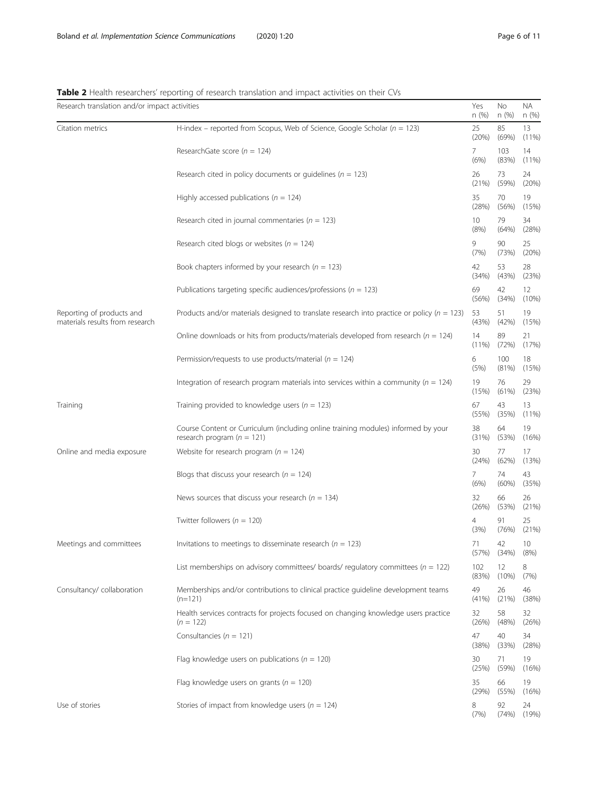|                                                              | an researches reporting or research admisiation and impact activities on archi                                      |                |              |              |
|--------------------------------------------------------------|---------------------------------------------------------------------------------------------------------------------|----------------|--------------|--------------|
| Research translation and/or impact activities                |                                                                                                                     | Yes<br>n(%)    | No<br>n(%)   | NA.<br>n (%) |
| Citation metrics                                             | H-index – reported from Scopus, Web of Science, Google Scholar ( $n = 123$ )                                        | 25<br>(20%)    | 85<br>(69%)  | 13<br>(11%)  |
|                                                              | ResearchGate score ( $n = 124$ )                                                                                    | 7.<br>(6%)     | 103<br>(83%) | 14<br>(11%   |
|                                                              | Research cited in policy documents or guidelines ( $n = 123$ )                                                      | 26<br>(21%)    | 73<br>(59%)  | 24<br>(20%   |
|                                                              | Highly accessed publications ( $n = 124$ )                                                                          | 35<br>(28%)    | 70<br>(56%)  | 19<br>(15%)  |
|                                                              | Research cited in journal commentaries ( $n = 123$ )                                                                | 10<br>(8%)     | 79<br>(64%)  | 34<br>(28%)  |
|                                                              | Research cited blogs or websites ( $n = 124$ )                                                                      | 9<br>(7%)      | 90<br>(73%)  | 25<br>(20%   |
|                                                              | Book chapters informed by your research ( $n = 123$ )                                                               | 42<br>(34%)    | 53<br>(43%)  | 28<br>(23%)  |
|                                                              | Publications targeting specific audiences/professions ( $n = 123$ )                                                 | 69<br>(56%)    | 42<br>(34%)  | 12<br>(10%   |
| Reporting of products and<br>materials results from research | Products and/or materials designed to translate research into practice or policy ( $n = 123$ )                      | 53<br>(43%)    | 51<br>(42%)  | 19<br>(15%)  |
|                                                              | Online downloads or hits from products/materials developed from research ( $n = 124$ )                              | 14<br>$(11\%)$ | 89<br>(72%)  | 21<br>(17%)  |
|                                                              | Permission/requests to use products/material ( $n = 124$ )                                                          | 6<br>(5%)      | 100<br>(81%) | 18<br>(15%)  |
|                                                              | Integration of research program materials into services within a community ( $n = 124$ )                            | 19<br>(15%)    | 76<br>(61%)  | 29<br>(23%)  |
| Training                                                     | Training provided to knowledge users ( $n = 123$ )                                                                  | 67<br>(55%)    | 43<br>(35%)  | 13<br>(11%)  |
|                                                              | Course Content or Curriculum (including online training modules) informed by your<br>research program ( $n = 121$ ) | 38<br>(31%)    | 64<br>(53%)  | 19<br>(16%)  |
| Online and media exposure                                    | Website for research program ( $n = 124$ )                                                                          | 30<br>(24%)    | 77<br>(62%)  | 17<br>(13%)  |
|                                                              | Blogs that discuss your research ( $n = 124$ )                                                                      | 7.<br>(6%)     | 74<br>(60%)  | 43<br>(35%)  |
|                                                              | News sources that discuss your research ( $n = 134$ )                                                               | 32<br>(26%)    | 66<br>(53%)  | 26<br>(21%)  |
|                                                              | Twitter followers ( $n = 120$ )                                                                                     | 4<br>(3%)      | 91<br>(76%)  | 25<br>(21%)  |
| Meetings and committees                                      | Invitations to meetings to disseminate research ( $n = 123$ )                                                       | 71<br>(57%)    | 42<br>(34%)  | 10<br>(8%)   |
|                                                              | List memberships on advisory committees/ boards/ regulatory committees ( $n = 122$ )                                | 102<br>(83%)   | 12<br>(10%)  | 8<br>(7%)    |
| Consultancy/ collaboration                                   | Memberships and/or contributions to clinical practice guideline development teams<br>$(n=121)$                      | 49<br>(41%)    | 26<br>(21%)  | 46<br>(38%)  |
|                                                              | Health services contracts for projects focused on changing knowledge users practice<br>$(n = 122)$                  | 32<br>(26%)    | 58<br>(48%)  | 32<br>(26%)  |
|                                                              | Consultancies ( $n = 121$ )                                                                                         | 47<br>(38%)    | 40<br>(33%)  | 34<br>(28%)  |
|                                                              | Flag knowledge users on publications ( $n = 120$ )                                                                  | 30<br>(25%)    | 71<br>(59%)  | 19<br>(16%)  |
|                                                              | Flag knowledge users on grants ( $n = 120$ )                                                                        | 35<br>(29%)    | 66<br>(55%)  | 19<br>(16%)  |
| Use of stories                                               | Stories of impact from knowledge users ( $n = 124$ )                                                                | 8<br>(7%)      | 92<br>(74%)  | 24<br>(19%   |

#### <span id="page-5-0"></span>Table 2 Health researchers' reporting of research translation and impact activities on their CVs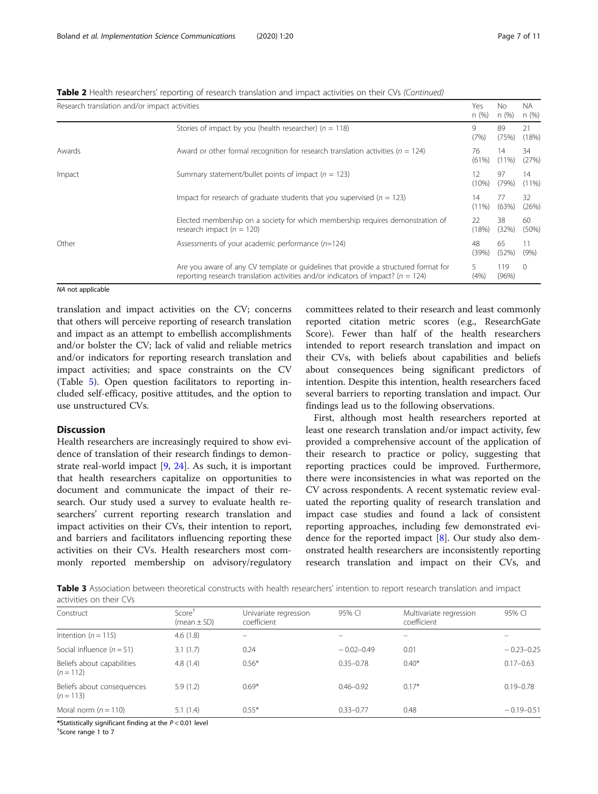<span id="page-6-0"></span>

| Table 2 Health researchers' reporting of research translation and impact activities on their CVs (Continued) |  |  |  |  |  |
|--------------------------------------------------------------------------------------------------------------|--|--|--|--|--|
|                                                                                                              |  |  |  |  |  |

| Research translation and/or impact activities |                                                                                                                                                                             | Yes<br>n(%)    | Nο<br>n (%)    | NA.<br>n(%)    |
|-----------------------------------------------|-----------------------------------------------------------------------------------------------------------------------------------------------------------------------------|----------------|----------------|----------------|
|                                               | Stories of impact by you (health researcher) ( $n = 118$ )                                                                                                                  | 9<br>(7%)      | 89<br>(75%)    | 21<br>(18%)    |
| Awards                                        | Award or other formal recognition for research translation activities ( $n = 124$ )                                                                                         | 76<br>(61%)    | 14<br>$(11\%)$ | 34<br>(27%)    |
| Impact                                        | Summary statement/bullet points of impact ( $n = 123$ )                                                                                                                     | (10%)          | 97<br>(79%)    | 14<br>$(11\%)$ |
|                                               | Impact for research of graduate students that you supervised ( $n = 123$ )                                                                                                  | 14<br>$(11\%)$ | 77<br>(63%)    | 32<br>(26%)    |
|                                               | Elected membership on a society for which membership requires demonstration of<br>research impact ( $n = 120$ )                                                             | 22<br>(18%)    | 38<br>(32%)    | 60<br>(50%)    |
| Other                                         | Assessments of your academic performance $(n=124)$                                                                                                                          | 48<br>(39%)    | 65<br>(52%)    | 11<br>(9%)     |
|                                               | Are you aware of any CV template or quidelines that provide a structured format for<br>reporting research translation activities and/or indicators of impact? ( $n = 124$ ) | (4%)           | 119<br>(96%)   | $\Omega$       |

#### NA not applicable

translation and impact activities on the CV; concerns that others will perceive reporting of research translation and impact as an attempt to embellish accomplishments and/or bolster the CV; lack of valid and reliable metrics and/or indicators for reporting research translation and impact activities; and space constraints on the CV (Table [5](#page-7-0)). Open question facilitators to reporting included self-efficacy, positive attitudes, and the option to use unstructured CVs.

### Discussion

Health researchers are increasingly required to show evidence of translation of their research findings to demonstrate real-world impact [[9,](#page-10-0) [24](#page-10-0)]. As such, it is important that health researchers capitalize on opportunities to document and communicate the impact of their research. Our study used a survey to evaluate health researchers' current reporting research translation and impact activities on their CVs, their intention to report, and barriers and facilitators influencing reporting these activities on their CVs. Health researchers most commonly reported membership on advisory/regulatory

committees related to their research and least commonly reported citation metric scores (e.g., ResearchGate Score). Fewer than half of the health researchers intended to report research translation and impact on their CVs, with beliefs about capabilities and beliefs about consequences being significant predictors of intention. Despite this intention, health researchers faced several barriers to reporting translation and impact. Our findings lead us to the following observations.

First, although most health researchers reported at least one research translation and/or impact activity, few provided a comprehensive account of the application of their research to practice or policy, suggesting that reporting practices could be improved. Furthermore, there were inconsistencies in what was reported on the CV across respondents. A recent systematic review evaluated the reporting quality of research translation and impact case studies and found a lack of consistent reporting approaches, including few demonstrated evidence for the reported impact [[8\]](#page-10-0). Our study also demonstrated health researchers are inconsistently reporting research translation and impact on their CVs, and

Table 3 Association between theoretical constructs with health researchers' intention to report research translation and impact activities on their CVs

| Construct                                 | $Score^{\dagger}$<br>(mean $\pm$ SD) | Univariate regression<br>coefficient | 95% CI         | Multivariate regression<br>coefficient | 95% CI         |
|-------------------------------------------|--------------------------------------|--------------------------------------|----------------|----------------------------------------|----------------|
| Intention ( $n = 115$ )                   | 4.6(1.8)                             |                                      |                |                                        |                |
| Social influence $(n = 51)$               | 3.1(1.7)                             | 0.24                                 | $-0.02 - 0.49$ | 0.01                                   | $-0.23 - 0.25$ |
| Beliefs about capabilities<br>$(n = 112)$ | 4.8(1.4)                             | $0.56*$                              | $0.35 - 0.78$  | $0.40*$                                | $0.17 - 0.63$  |
| Beliefs about consequences<br>$(n = 113)$ | 5.9(1.2)                             | $0.69*$                              | $0.46 - 0.92$  | $0.17*$                                | $0.19 - 0.78$  |
| Moral norm $(n = 110)$                    | 5.1(1.4)                             | $0.55*$                              | $0.33 - 0.77$  | 0.48                                   | $-0.19 - 0.51$ |

\*Statistically significant finding at the  $P < 0.01$  level

<sup>+</sup>Score range 1 to 7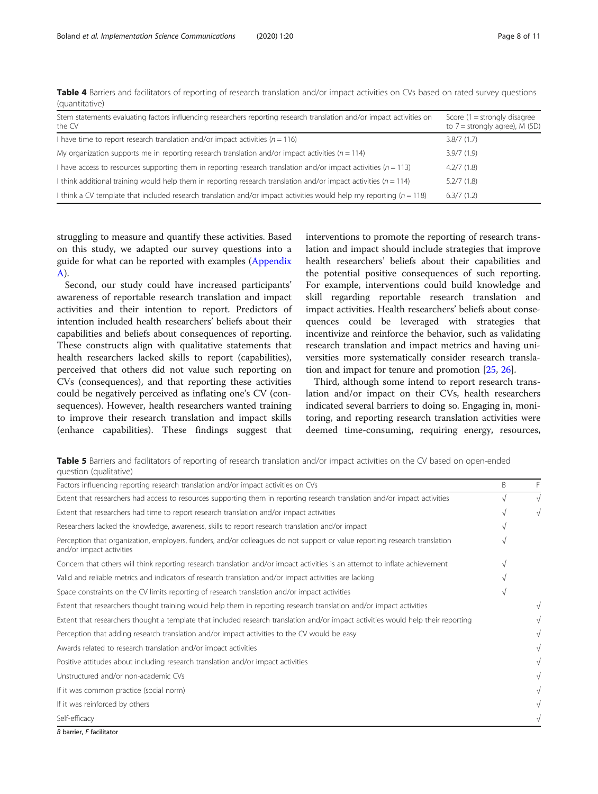| Stem statements evaluating factors influencing researchers reporting research translation and/or impact activities on<br>the CV | Score $(1 =$ strongly disagree<br>to $7 =$ strongly agree), M (SD) |
|---------------------------------------------------------------------------------------------------------------------------------|--------------------------------------------------------------------|
| I have time to report research translation and/or impact activities $(n = 116)$                                                 | 3.8/7(1.7)                                                         |
| My organization supports me in reporting research translation and/or impact activities ( $n = 114$ )                            | 3.9/7(1.9)                                                         |
| I have access to resources supporting them in reporting research translation and/or impact activities $(n = 113)$               | 4.2/7(1.8)                                                         |
| I think additional training would help them in reporting research translation and/or impact activities $(n = 114)$              | 5.2/7(1.8)                                                         |
| I think a CV template that included research translation and/or impact activities would help my reporting $(n = 118)$           | 6.3/7(1.2)                                                         |

<span id="page-7-0"></span>Table 4 Barriers and facilitators of reporting of research translation and/or impact activities on CVs based on rated survey questions (quantitative)

struggling to measure and quantify these activities. Based on this study, we adapted our survey questions into a guide for what can be reported with examples ([Appendix](#page-9-0) [A\)](#page-9-0).

Second, our study could have increased participants' awareness of reportable research translation and impact activities and their intention to report. Predictors of intention included health researchers' beliefs about their capabilities and beliefs about consequences of reporting. These constructs align with qualitative statements that health researchers lacked skills to report (capabilities), perceived that others did not value such reporting on CVs (consequences), and that reporting these activities could be negatively perceived as inflating one's CV (consequences). However, health researchers wanted training to improve their research translation and impact skills (enhance capabilities). These findings suggest that

interventions to promote the reporting of research translation and impact should include strategies that improve health researchers' beliefs about their capabilities and the potential positive consequences of such reporting. For example, interventions could build knowledge and skill regarding reportable research translation and impact activities. Health researchers' beliefs about consequences could be leveraged with strategies that incentivize and reinforce the behavior, such as validating research translation and impact metrics and having universities more systematically consider research translation and impact for tenure and promotion [\[25](#page-10-0), [26](#page-10-0)].

Third, although some intend to report research translation and/or impact on their CVs, health researchers indicated several barriers to doing so. Engaging in, monitoring, and reporting research translation activities were deemed time-consuming, requiring energy, resources,

Table 5 Barriers and facilitators of reporting of research translation and/or impact activities on the CV based on open-ended question (qualitative)

| Factors influencing reporting research translation and/or impact activities on CVs                                                                     | B | F          |
|--------------------------------------------------------------------------------------------------------------------------------------------------------|---|------------|
| Extent that researchers had access to resources supporting them in reporting research translation and/or impact activities                             |   | $\sqrt{ }$ |
| Extent that researchers had time to report research translation and/or impact activities                                                               |   |            |
| Researchers lacked the knowledge, awareness, skills to report research translation and/or impact                                                       |   |            |
| Perception that organization, employers, funders, and/or colleagues do not support or value reporting research translation<br>and/or impact activities |   |            |
| Concern that others will think reporting research translation and/or impact activities is an attempt to inflate achievement                            |   |            |
| Valid and reliable metrics and indicators of research translation and/or impact activities are lacking                                                 |   |            |
| Space constraints on the CV limits reporting of research translation and/or impact activities                                                          |   |            |
| Extent that researchers thought training would help them in reporting research translation and/or impact activities                                    |   | $\sqrt{}$  |
| Extent that researchers thought a template that included research translation and/or impact activities would help their reporting                      |   |            |
| Perception that adding research translation and/or impact activities to the CV would be easy                                                           |   |            |
| Awards related to research translation and/or impact activities                                                                                        |   |            |
| Positive attitudes about including research translation and/or impact activities                                                                       |   |            |
| Unstructured and/or non-academic CVs                                                                                                                   |   | $\sqrt{}$  |
| If it was common practice (social norm)                                                                                                                |   | $\sqrt{}$  |
| If it was reinforced by others                                                                                                                         |   |            |
| Self-efficacy                                                                                                                                          |   |            |

B barrier, F facilitator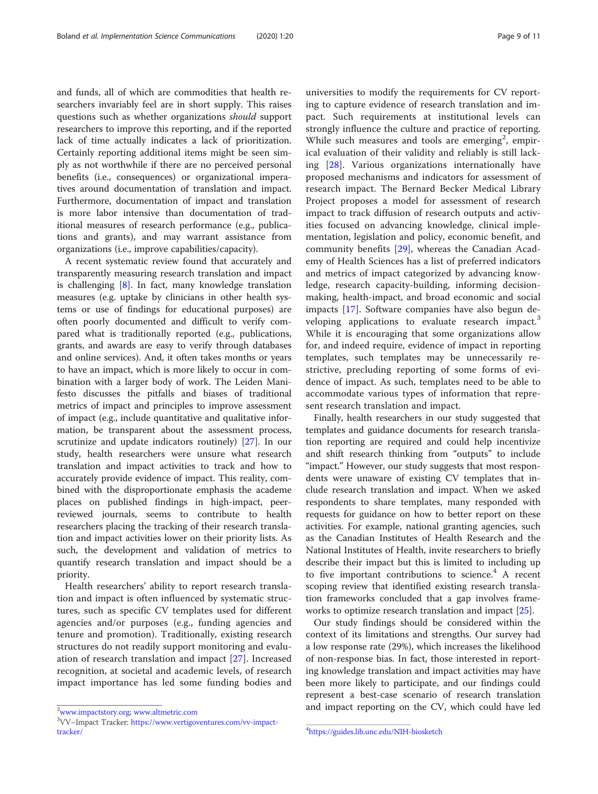and funds, all of which are commodities that health researchers invariably feel are in short supply. This raises questions such as whether organizations should support researchers to improve this reporting, and if the reported lack of time actually indicates a lack of prioritization. Certainly reporting additional items might be seen simply as not worthwhile if there are no perceived personal benefits (i.e., consequences) or organizational imperatives around documentation of translation and impact. Furthermore, documentation of impact and translation is more labor intensive than documentation of traditional measures of research performance (e.g., publications and grants), and may warrant assistance from organizations (i.e., improve capabilities/capacity).

A recent systematic review found that accurately and transparently measuring research translation and impact is challenging [[8\]](#page-10-0). In fact, many knowledge translation measures (e.g. uptake by clinicians in other health systems or use of findings for educational purposes) are often poorly documented and difficult to verify compared what is traditionally reported (e.g., publications, grants, and awards are easy to verify through databases and online services). And, it often takes months or years to have an impact, which is more likely to occur in combination with a larger body of work. The Leiden Manifesto discusses the pitfalls and biases of traditional metrics of impact and principles to improve assessment of impact (e.g., include quantitative and qualitative information, be transparent about the assessment process, scrutinize and update indicators routinely) [[27\]](#page-10-0). In our study, health researchers were unsure what research translation and impact activities to track and how to accurately provide evidence of impact. This reality, combined with the disproportionate emphasis the academe places on published findings in high-impact, peerreviewed journals, seems to contribute to health researchers placing the tracking of their research translation and impact activities lower on their priority lists. As such, the development and validation of metrics to quantify research translation and impact should be a priority.

Health researchers' ability to report research translation and impact is often influenced by systematic structures, such as specific CV templates used for different agencies and/or purposes (e.g., funding agencies and tenure and promotion). Traditionally, existing research structures do not readily support monitoring and evaluation of research translation and impact [[27](#page-10-0)]. Increased recognition, at societal and academic levels, of research impact importance has led some funding bodies and

universities to modify the requirements for CV reporting to capture evidence of research translation and impact. Such requirements at institutional levels can strongly influence the culture and practice of reporting. While such measures and tools are emerging<sup>2</sup>, empirical evaluation of their validity and reliably is still lacking [[28\]](#page-10-0). Various organizations internationally have proposed mechanisms and indicators for assessment of research impact. The Bernard Becker Medical Library Project proposes a model for assessment of research impact to track diffusion of research outputs and activities focused on advancing knowledge, clinical implementation, legislation and policy, economic benefit, and community benefits [[29](#page-10-0)], whereas the Canadian Academy of Health Sciences has a list of preferred indicators and metrics of impact categorized by advancing knowledge, research capacity-building, informing decisionmaking, health-impact, and broad economic and social impacts [\[17](#page-10-0)]. Software companies have also begun developing applications to evaluate research impact.<sup>3</sup> While it is encouraging that some organizations allow for, and indeed require, evidence of impact in reporting templates, such templates may be unnecessarily restrictive, precluding reporting of some forms of evidence of impact. As such, templates need to be able to accommodate various types of information that represent research translation and impact.

Finally, health researchers in our study suggested that templates and guidance documents for research translation reporting are required and could help incentivize and shift research thinking from "outputs" to include "impact." However, our study suggests that most respondents were unaware of existing CV templates that include research translation and impact. When we asked respondents to share templates, many responded with requests for guidance on how to better report on these activities. For example, national granting agencies, such as the Canadian Institutes of Health Research and the National Institutes of Health, invite researchers to briefly describe their impact but this is limited to including up to five important contributions to science. $4$  A recent scoping review that identified existing research translation frameworks concluded that a gap involves frameworks to optimize research translation and impact [\[25](#page-10-0)].

Our study findings should be considered within the context of its limitations and strengths. Our survey had a low response rate (29%), which increases the likelihood of non-response bias. In fact, those interested in reporting knowledge translation and impact activities may have been more likely to participate, and our findings could represent a best-case scenario of research translation <sup>2</sup>[www.impactstory.org](http://www.impactstory.org/); [www.altmetric.com](http://www.altmetric.com/) and impact reporting on the CV, which could have led

<sup>&</sup>lt;sup>3</sup>VV–Impact Tracker: [https://www.vertigoventures.com/vv-impact](https://www.vertigoventures.com/vv-impact-tracker/)[tracker/](https://www.vertigoventures.com/vv-impact-tracker/) <sup>4</sup>

<https://guides.lib.unc.edu/NIH-biosketch>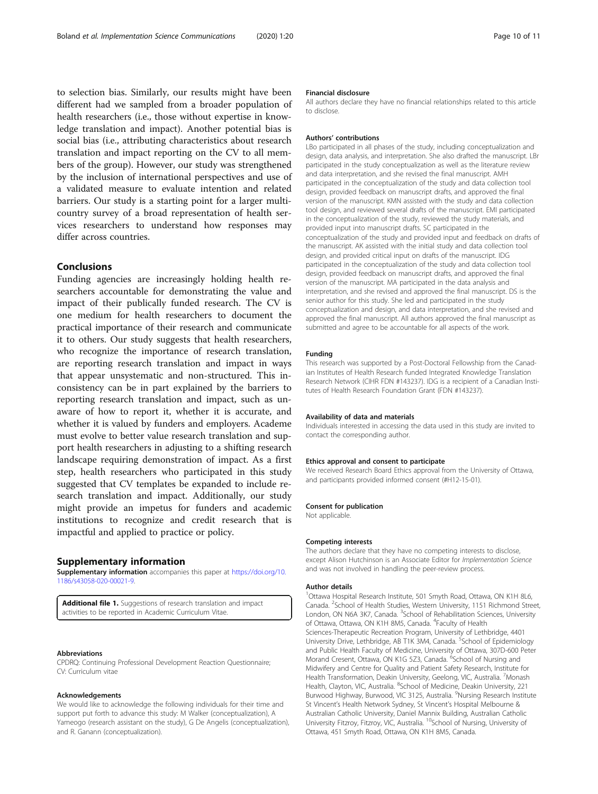<span id="page-9-0"></span>to selection bias. Similarly, our results might have been different had we sampled from a broader population of health researchers (i.e., those without expertise in knowledge translation and impact). Another potential bias is social bias (i.e., attributing characteristics about research translation and impact reporting on the CV to all members of the group). However, our study was strengthened by the inclusion of international perspectives and use of a validated measure to evaluate intention and related barriers. Our study is a starting point for a larger multicountry survey of a broad representation of health services researchers to understand how responses may differ across countries.

### Conclusions

Funding agencies are increasingly holding health researchers accountable for demonstrating the value and impact of their publically funded research. The CV is one medium for health researchers to document the practical importance of their research and communicate it to others. Our study suggests that health researchers, who recognize the importance of research translation, are reporting research translation and impact in ways that appear unsystematic and non-structured. This inconsistency can be in part explained by the barriers to reporting research translation and impact, such as unaware of how to report it, whether it is accurate, and whether it is valued by funders and employers. Academe must evolve to better value research translation and support health researchers in adjusting to a shifting research landscape requiring demonstration of impact. As a first step, health researchers who participated in this study suggested that CV templates be expanded to include research translation and impact. Additionally, our study might provide an impetus for funders and academic institutions to recognize and credit research that is impactful and applied to practice or policy.

#### Supplementary information

Supplementary information accompanies this paper at [https://doi.org/10.](https://doi.org/10.1186/s43058-020-00021-9) [1186/s43058-020-00021-9](https://doi.org/10.1186/s43058-020-00021-9).

Additional file 1. Suggestions of research translation and impact activities to be reported in Academic Curriculum Vitae.

#### Abbreviations

CPDRQ: Continuing Professional Development Reaction Questionnaire; CV: Curriculum vitae

#### Acknowledgements

We would like to acknowledge the following individuals for their time and support put forth to advance this study: M Walker (conceptualization), A Yameogo (research assistant on the study), G De Angelis (conceptualization), and R. Ganann (conceptualization).

#### Financial disclosure

All authors declare they have no financial relationships related to this article to disclose.

#### Authors' contributions

LBo participated in all phases of the study, including conceptualization and design, data analysis, and interpretation. She also drafted the manuscript. LBr participated in the study conceptualization as well as the literature review and data interpretation, and she revised the final manuscript. AMH participated in the conceptualization of the study and data collection tool design, provided feedback on manuscript drafts, and approved the final version of the manuscript. KMN assisted with the study and data collection tool design, and reviewed several drafts of the manuscript. EMI participated in the conceptualization of the study, reviewed the study materials, and provided input into manuscript drafts. SC participated in the conceptualization of the study and provided input and feedback on drafts of the manuscript. AK assisted with the initial study and data collection tool design, and provided critical input on drafts of the manuscript. IDG participated in the conceptualization of the study and data collection tool design, provided feedback on manuscript drafts, and approved the final version of the manuscript. MA participated in the data analysis and interpretation, and she revised and approved the final manuscript. DS is the senior author for this study. She led and participated in the study conceptualization and design, and data interpretation, and she revised and approved the final manuscript. All authors approved the final manuscript as submitted and agree to be accountable for all aspects of the work.

#### Funding

This research was supported by a Post-Doctoral Fellowship from the Canadian Institutes of Health Research funded Integrated Knowledge Translation Research Network (CIHR FDN #143237). IDG is a recipient of a Canadian Institutes of Health Research Foundation Grant (FDN #143237).

#### Availability of data and materials

Individuals interested in accessing the data used in this study are invited to contact the corresponding author.

#### Ethics approval and consent to participate

We received Research Board Ethics approval from the University of Ottawa, and participants provided informed consent (#H12-15-01).

#### Consent for publication

Not applicable.

#### Competing interests

The authors declare that they have no competing interests to disclose, except Alison Hutchinson is an Associate Editor for Implementation Science and was not involved in handling the peer-review process.

#### Author details

<sup>1</sup>Ottawa Hospital Research Institute, 501 Smyth Road, Ottawa, ON K1H 8L6 Canada. <sup>2</sup>School of Health Studies, Western University, 1151 Richmond Street London, ON N6A 3K7, Canada. <sup>3</sup>School of Rehabilitation Sciences, University of Ottawa, Ottawa, ON K1H 8M5, Canada. <sup>4</sup>Faculty of Health Sciences-Therapeutic Recreation Program, University of Lethbridge, 4401 University Drive, Lethbridge, AB T1K 3M4, Canada. <sup>5</sup>School of Epidemiology and Public Health Faculty of Medicine, University of Ottawa, 307D-600 Peter Morand Cresent, Ottawa, ON K1G 5Z3, Canada. <sup>6</sup>School of Nursing and Midwifery and Centre for Quality and Patient Safety Research, Institute for Health Transformation, Deakin University, Geelong, VIC, Australia. <sup>7</sup>Monash Health, Clayton, VIC, Australia. <sup>8</sup>School of Medicine, Deakin University, 221 Burwood Highway, Burwood, VIC 3125, Australia. <sup>9</sup>Nursing Research Institute St Vincent's Health Network Sydney, St Vincent's Hospital Melbourne & Australian Catholic University, Daniel Mannix Building, Australian Catholic University Fitzroy, Fitzroy, VIC, Australia. <sup>10</sup>School of Nursing, University of Ottawa, 451 Smyth Road, Ottawa, ON K1H 8M5, Canada.